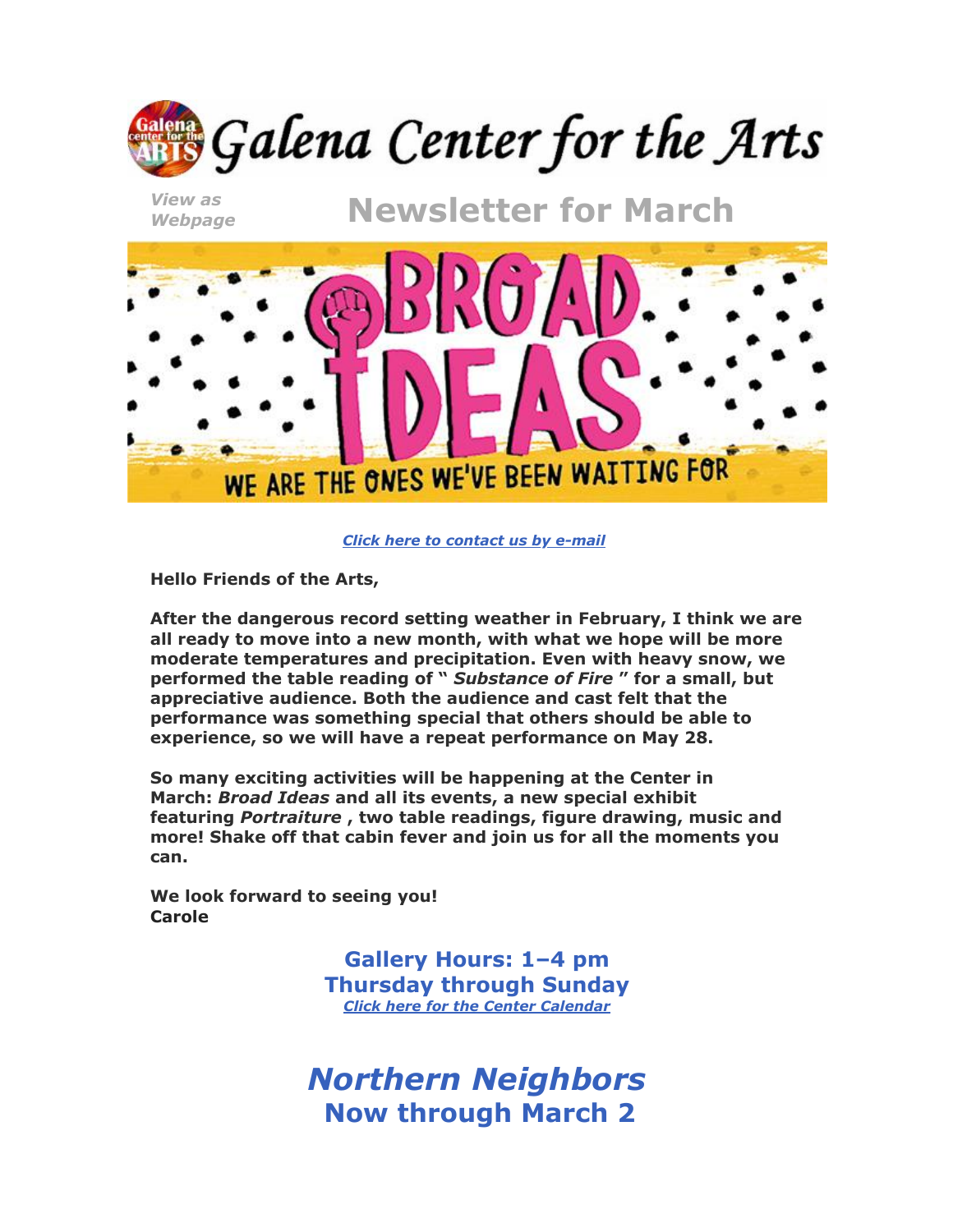

*[Click here to contact us by e-mail](mailto:info@galenacenterforthearts.com)*

**Hello Friends of the Arts,**

**After the dangerous record setting weather in February, I think we are all ready to move into a new month, with what we hope will be more moderate temperatures and precipitation. Even with heavy snow, we performed the table reading of "** *Substance of Fire* **" for a small, but appreciative audience. Both the audience and cast felt that the performance was something special that others should be able to experience, so we will have a repeat performance on May 28.**

**So many exciting activities will be happening at the Center in March:** *Broad Ideas* **and all its events, a new special exhibit featuring** *Portraiture* **, two table readings, figure drawing, music and more! Shake off that cabin fever and join us for all the moments you can.**

**We look forward to seeing you! Carole**

> **Gallery Hours: 1–4 pm Thursday through Sunday** *[Click here for the Center Calendar](http://www.galenacenterforthearts.org/calendar.aspx)*

*Northern Neighbors* **Now through March 2**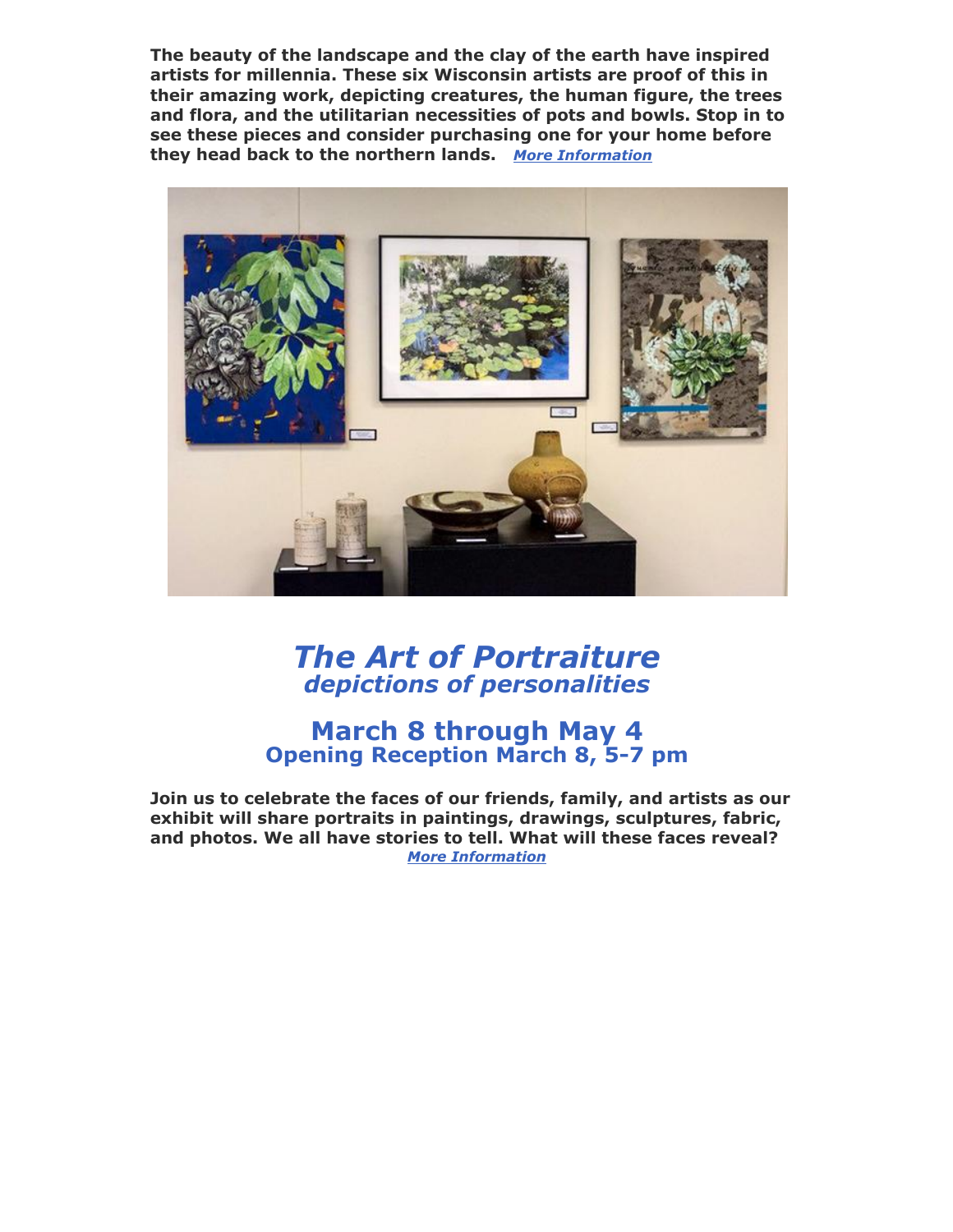**The beauty of the landscape and the clay of the earth have inspired artists for millennia. These six Wisconsin artists are proof of this in their amazing work, depicting creatures, the human figure, the trees and flora, and the utilitarian necessities of pots and bowls. Stop in to see these pieces and consider purchasing one for your home before they head back to the northern lands.** *[More Information](http://www.galenacenterforthearts.org/exhibits/special/2019/northern-neighbors.aspx)*



### *The Art of Portraiture depictions of personalities*

#### **March 8 through May 4 Opening Reception March 8, 5-7 pm**

**Join us to celebrate the faces of our friends, family, and artists as our exhibit will share portraits in paintings, drawings, sculptures, fabric, and photos. We all have stories to tell. What will these faces reveal?** *[More Information](http://www.galenacenterforthearts.org/exhibits/special/2019/the-art-of-portraiture.aspx)*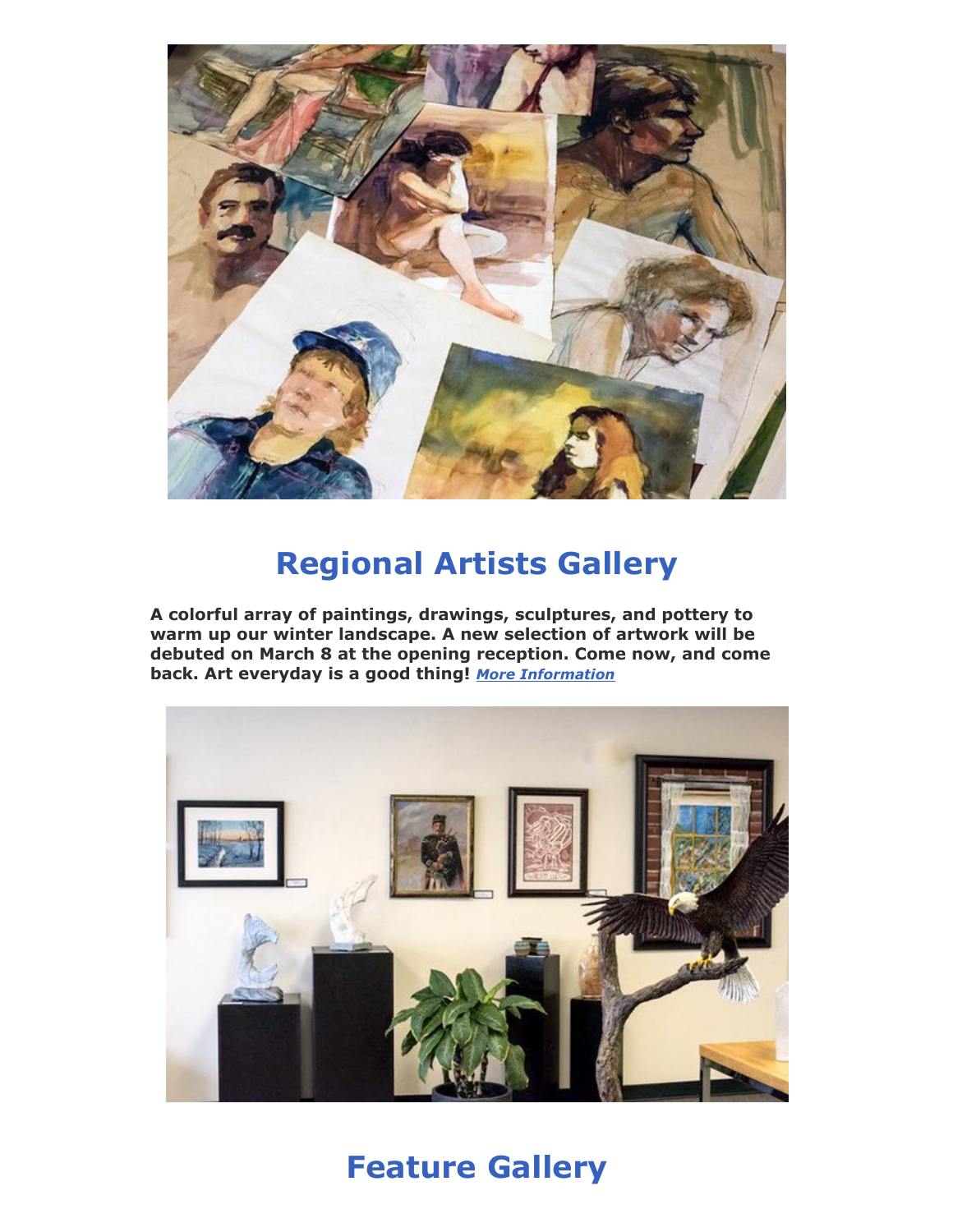

## **Regional Artists Gallery**

**A colorful array of paintings, drawings, sculptures, and pottery to warm up our winter landscape. A new selection of artwork will be debuted on March 8 at the opening reception. Come now, and come back. Art everyday is a good thing!** *[More Information](http://www.galenacenterforthearts.org/exhibits/regional-gallery.aspx)*



**Feature Gallery**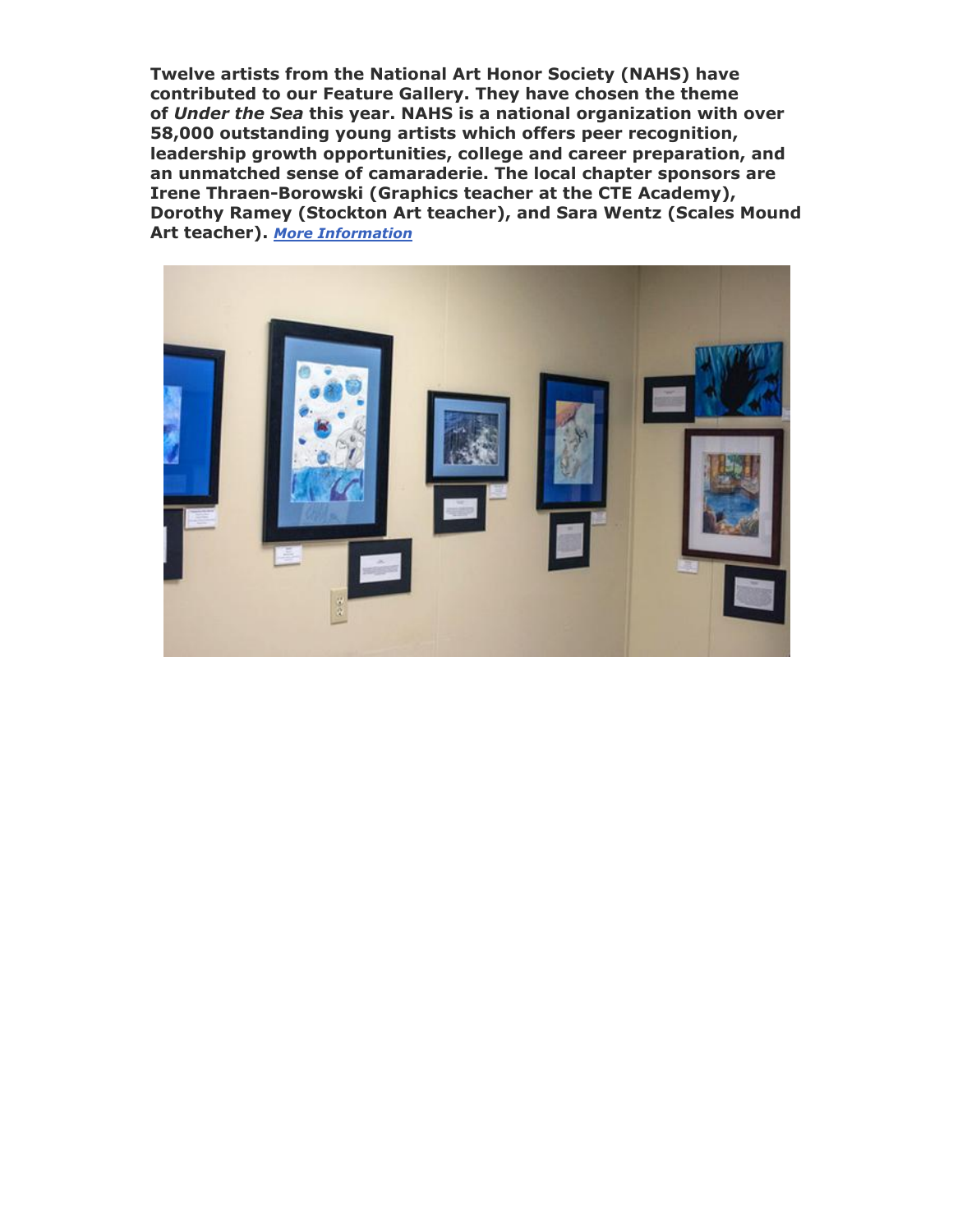**Twelve artists from the National Art Honor Society (NAHS) have contributed to our Feature Gallery. They have chosen the theme of** *Under the Sea* **this year. NAHS is a national organization with over 58,000 outstanding young artists which offers peer recognition, leadership growth opportunities, college and career preparation, and an unmatched sense of camaraderie. The local chapter sponsors are Irene Thraen-Borowski (Graphics teacher at the CTE Academy), Dorothy Ramey (Stockton Art teacher), and Sara Wentz (Scales Mound Art teacher).** *[More Information](http://www.galenacenterforthearts.org/exhibits/feature/2019/under-the-sea.aspx)*

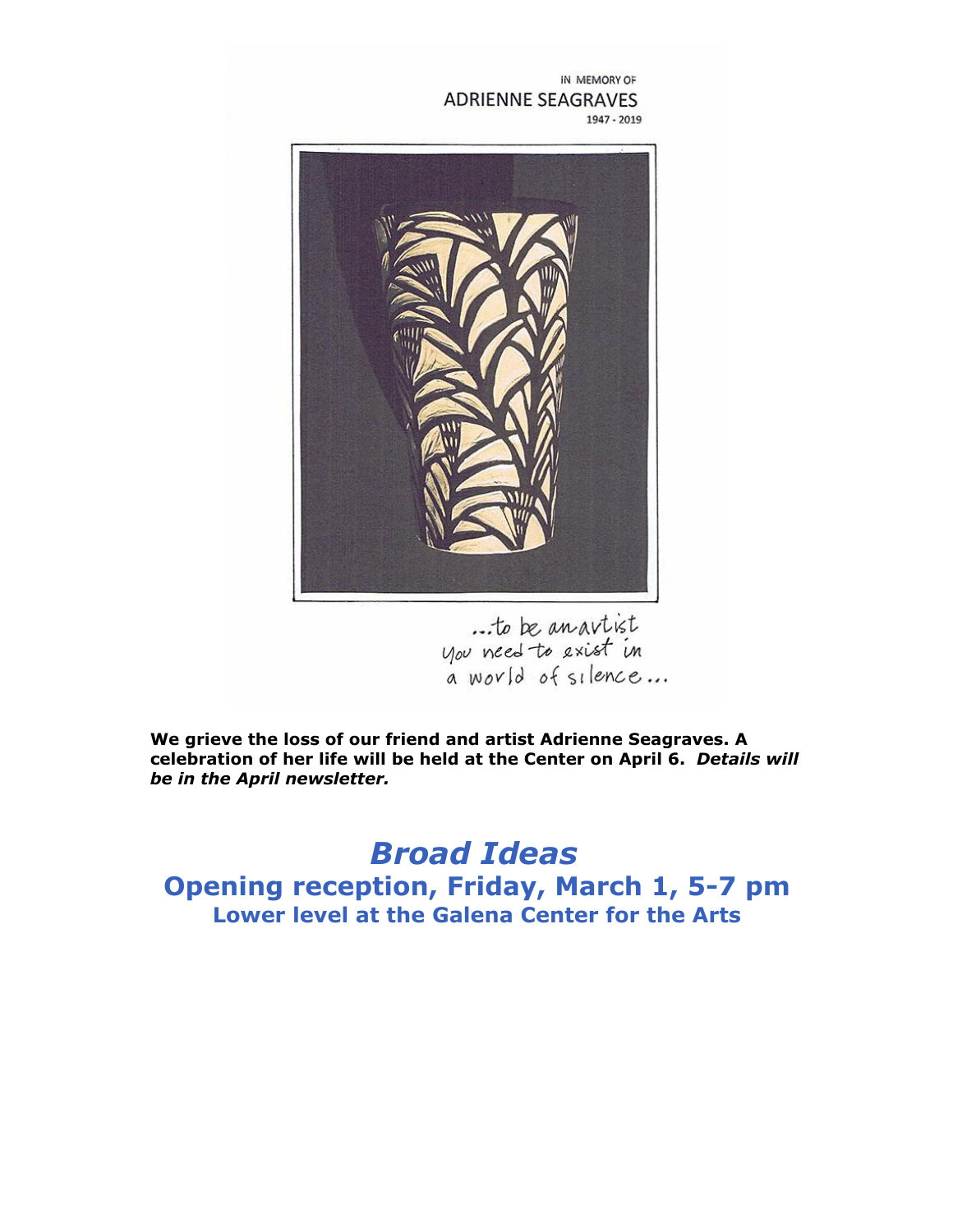IN MEMORY OF ADRIENNE SEAGRAVES 1947 - 2019



...to be an avtist<br>you need to exist in<br>a world of silence...

**We grieve the loss of our friend and artist Adrienne Seagraves. A celebration of her life will be held at the Center on April 6.** *Details will be in the April newsletter.*

*Broad Ideas* **Opening reception, Friday, March 1, 5-7 pm Lower level at the Galena Center for the Arts**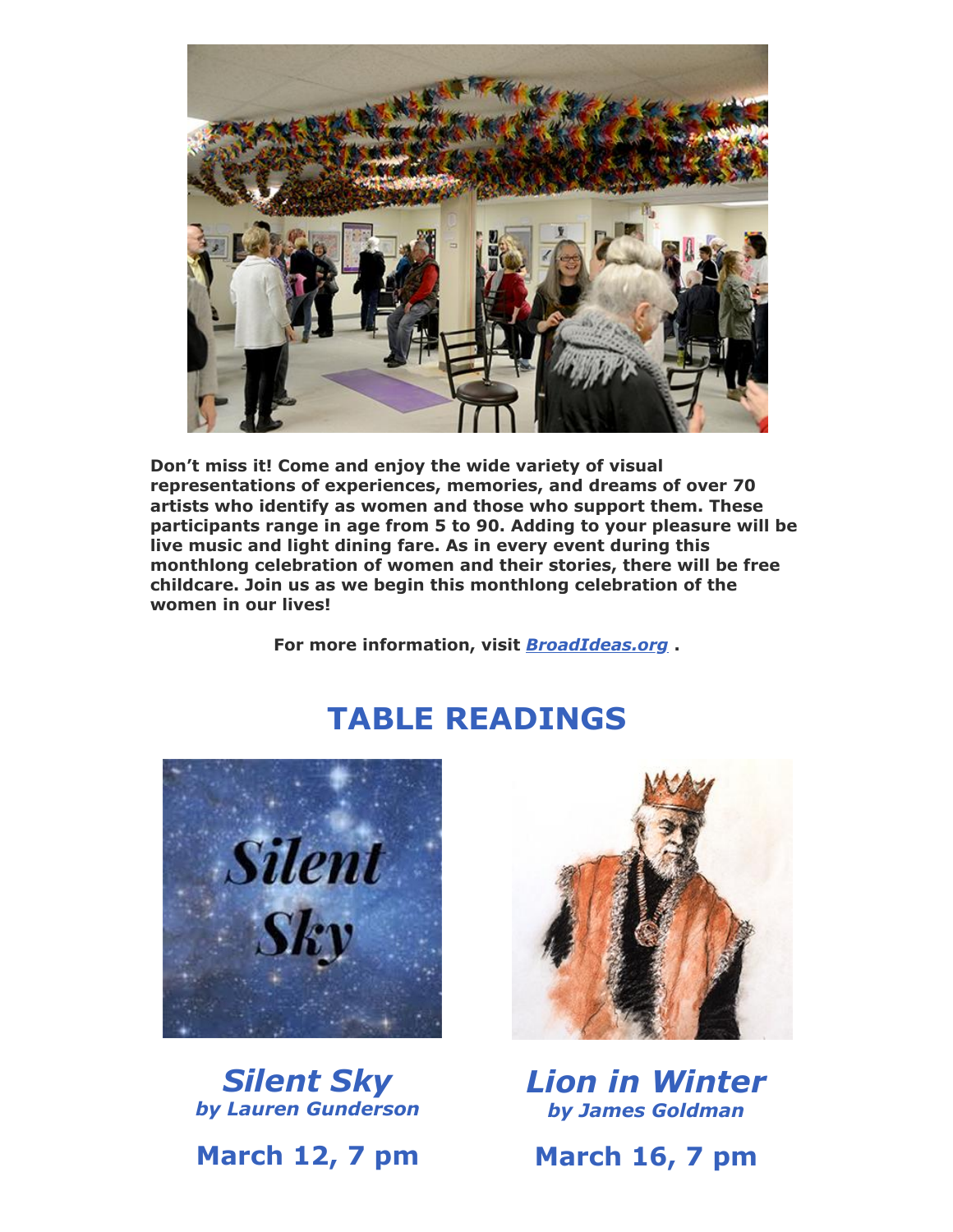![](_page_5_Picture_0.jpeg)

**Don't miss it! Come and enjoy the wide variety of visual representations of experiences, memories, and dreams of over 70 artists who identify as women and those who support them. These participants range in age from 5 to 90. Adding to your pleasure will be live music and light dining fare. As in every event during this monthlong celebration of women and their stories, there will be free childcare. Join us as we begin this monthlong celebration of the women in our lives!**

**For more information, visit** *[BroadIdeas.org](https://www.broadideas.org/)* **.**

## **TABLE READINGS**

![](_page_5_Picture_4.jpeg)

*Silent Sky by Lauren Gunderson*

**March 12, 7 pm**

![](_page_5_Picture_7.jpeg)

*Lion in Winter by James Goldman*

**March 16, 7 pm**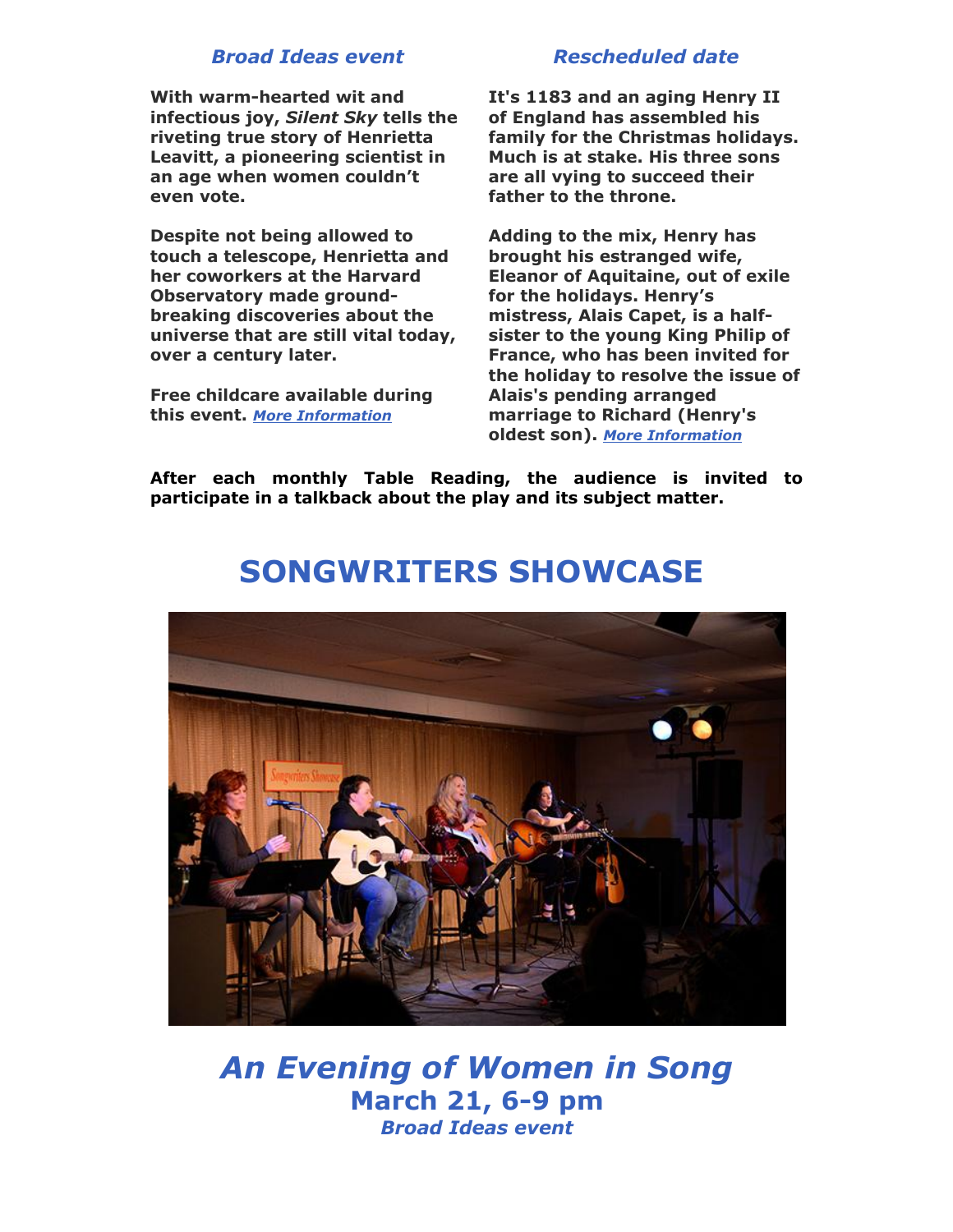#### *Broad Ideas event*

**With warm-hearted wit and infectious joy,** *Silent Sky* **tells the riveting true story of Henrietta Leavitt, a pioneering scientist in an age when women couldn't even vote.**

**Despite not being allowed to touch a telescope, Henrietta and her coworkers at the Harvard Observatory made groundbreaking discoveries about the universe that are still vital today, over a century later.**

**Free childcare available during this event.** *[More Information](http://www.galenacenterforthearts.org/performances/table-reading/2019/silent-sky.aspx)*

#### *Rescheduled date*

**It's 1183 and an aging Henry II of England has assembled his family for the Christmas holidays. Much is at stake. His three sons are all vying to succeed their father to the throne.** 

**Adding to the mix, Henry has brought his estranged wife, Eleanor of Aquitaine, out of exile for the holidays. Henry's mistress, Alais Capet, is a halfsister to the young King Philip of France, who has been invited for the holiday to resolve the issue of Alais's pending arranged marriage to Richard (Henry's oldest son).** *[More Information](http://www.galenacenterforthearts.org/performances/table-reading/2019/the-lion-in-winter.aspx)*

**After each monthly Table Reading, the audience is invited to participate in a talkback about the play and its subject matter.**

![](_page_6_Picture_8.jpeg)

## **SONGWRITERS SHOWCASE**

*An Evening of Women in Song* **March 21, 6-9 pm** *Broad Ideas event*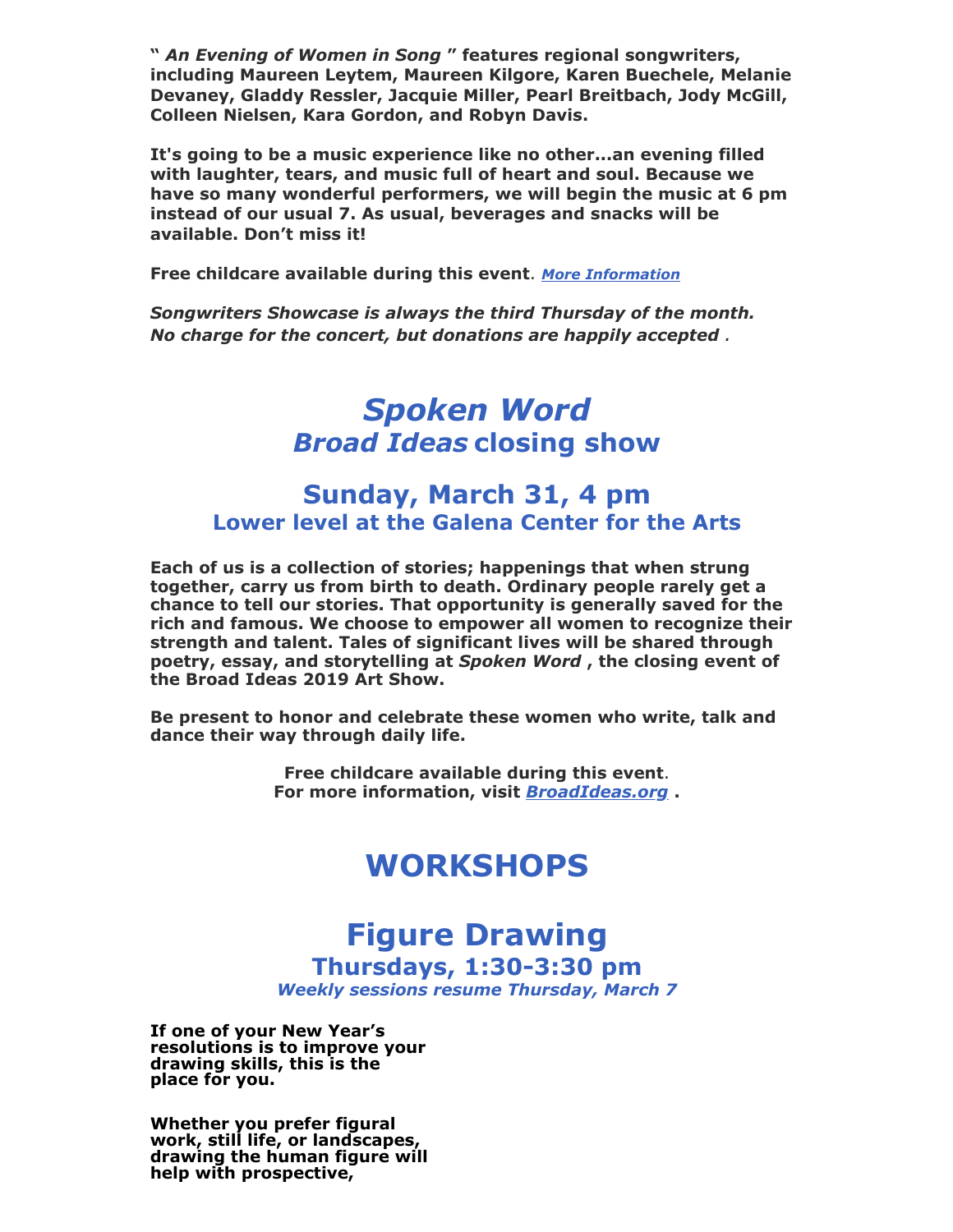**"** *An Evening of Women in Song* **" features regional songwriters, including Maureen Leytem, Maureen Kilgore, Karen Buechele, Melanie Devaney, Gladdy Ressler, Jacquie Miller, Pearl Breitbach, Jody McGill, Colleen Nielsen, Kara Gordon, and Robyn Davis.** 

**It's going to be a music experience like no other...an evening filled with laughter, tears, and music full of heart and soul. Because we have so many wonderful performers, we will begin the music at 6 pm instead of our usual 7. As usual, beverages and snacks will be available. Don't miss it!**

**Free childcare available during this event**. *[More Information](http://www.galenacenterforthearts.org/performances/songwriters-showcase/2019/women-in-song.aspx)*

*Songwriters Showcase is always the third Thursday of the month. No charge for the concert, but donations are happily accepted .*

## *Spoken Word Broad Ideas* **closing show**

#### **Sunday, March 31, 4 pm Lower level at the Galena Center for the Arts**

**Each of us is a collection of stories; happenings that when strung together, carry us from birth to death. Ordinary people rarely get a chance to tell our stories. That opportunity is generally saved for the rich and famous. We choose to empower all women to recognize their strength and talent. Tales of significant lives will be shared through poetry, essay, and storytelling at** *Spoken Word* **, the closing event of the Broad Ideas 2019 Art Show.**

**Be present to honor and celebrate these women who write, talk and dance their way through daily life.** 

> **Free childcare available during this event**. **For more information, visit** *[BroadIdeas.org](https://www.broadideas.org/)* **.**

## **WORKSHOPS**

# **Figure Drawing**

**Thursdays, 1:30-3:30 pm**

*Weekly sessions resume Thursday, March 7*

**If one of your New Year's resolutions is to improve your drawing skills, this is the place for you.**

**Whether you prefer figural work, still life, or landscapes, drawing the human figure will help with prospective,**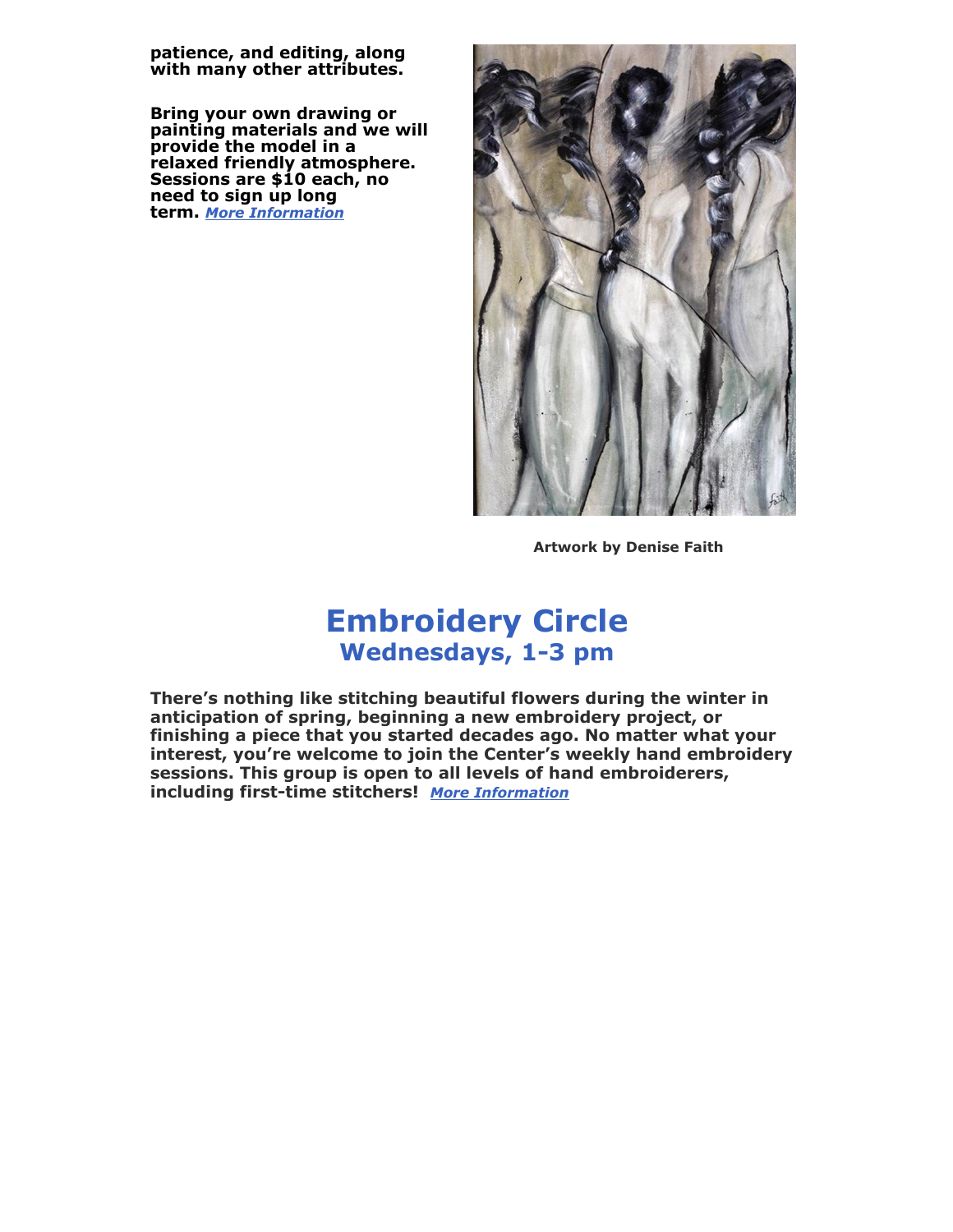**patience, and editing, along with many other attributes.**

**Bring your own drawing or painting materials and we will provide the model in a relaxed friendly atmosphere. Sessions are \$10 each, no need to sign up long term.** *[More Information](http://www.galenacenterforthearts.org/classes/figure-drawing.aspx)*

![](_page_8_Picture_2.jpeg)

**Artwork by Denise Faith**

### **Embroidery Circle Wednesdays, 1-3 pm**

**There's nothing like stitching beautiful flowers during the winter in anticipation of spring, beginning a new embroidery project, or finishing a piece that you started decades ago. No matter what your interest, you're welcome to join the Center's weekly hand embroidery sessions. This group is open to all levels of hand embroiderers, including first-time stitchers!** *[More Information](http://www.galenacenterforthearts.org/classes/embroidery-circle.aspx)*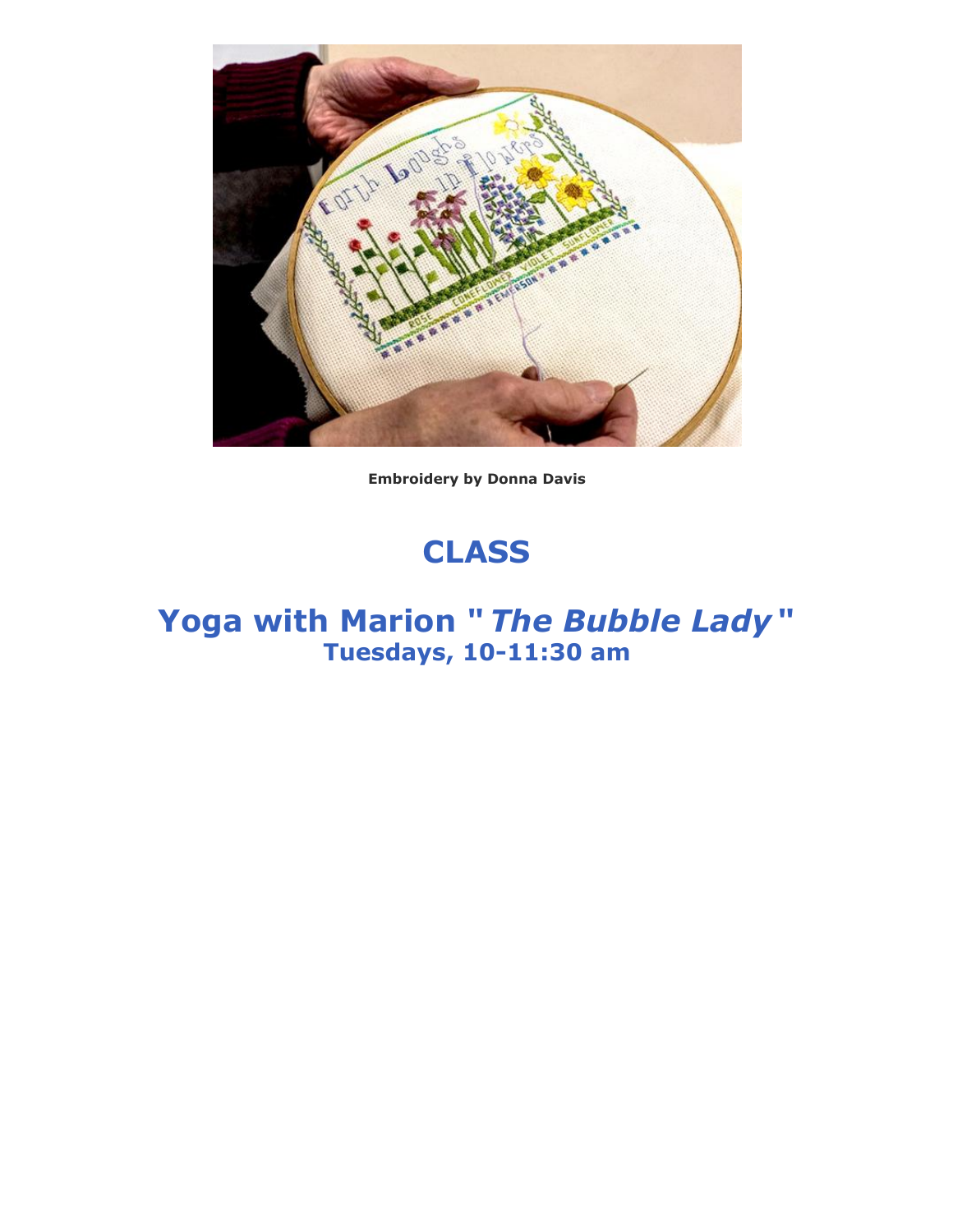![](_page_9_Picture_0.jpeg)

**Embroidery by Donna Davis**

# **CLASS**

### **Yoga with Marion "** *The Bubble Lady* **" Tuesdays, 10-11:30 am**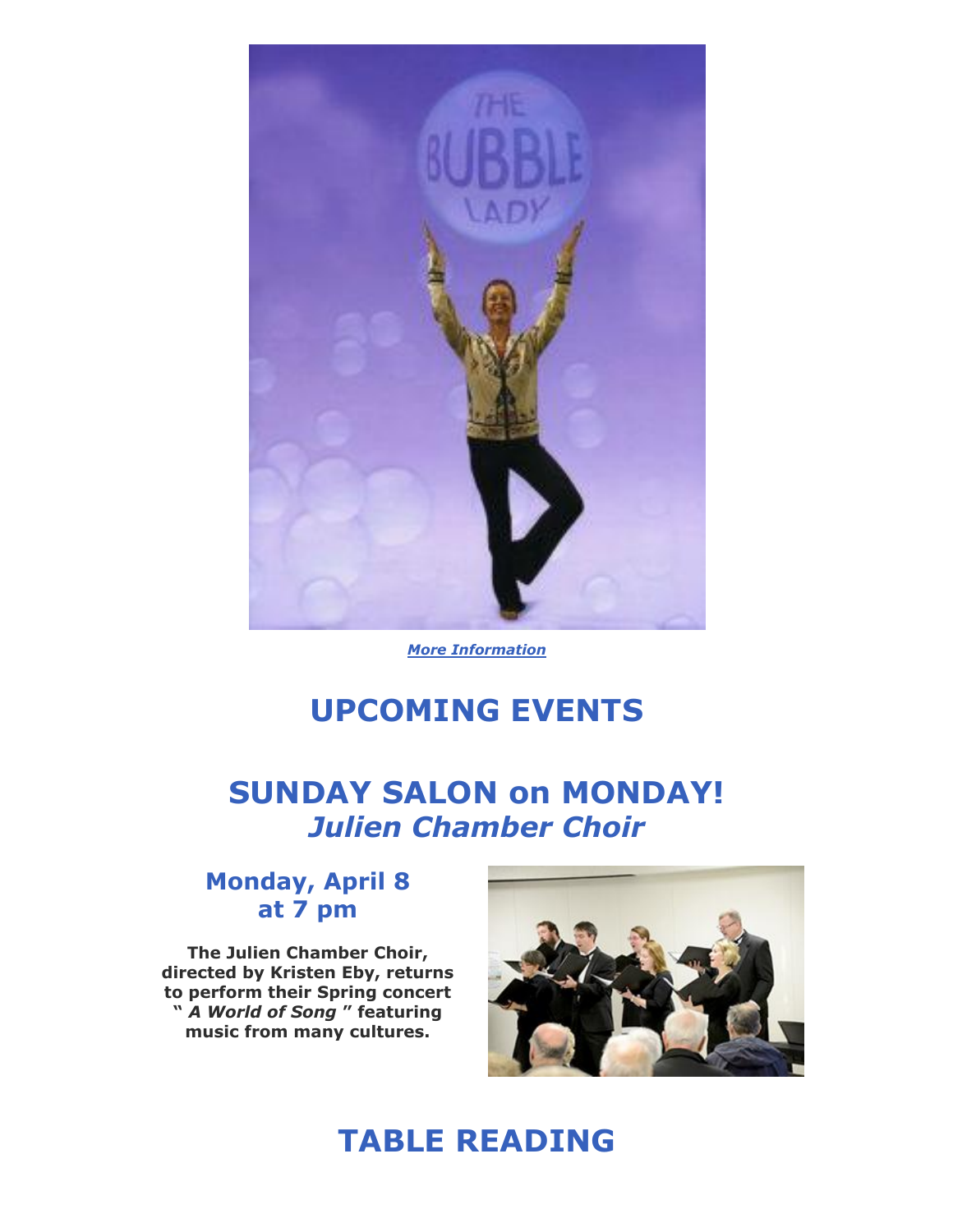![](_page_10_Picture_0.jpeg)

*[More Information](http://www.galenacenterforthearts.org/classes/yoga-with-marion.aspx)*

## **UPCOMING EVENTS**

**SUNDAY SALON on MONDAY!** *Julien Chamber Choir*

#### **Monday, April 8 at 7 pm**

**The Julien Chamber Choir, directed by Kristen Eby, returns to perform their Spring concert "** *A World of Song* **" featuring music from many cultures.**

![](_page_10_Picture_6.jpeg)

## **TABLE READING**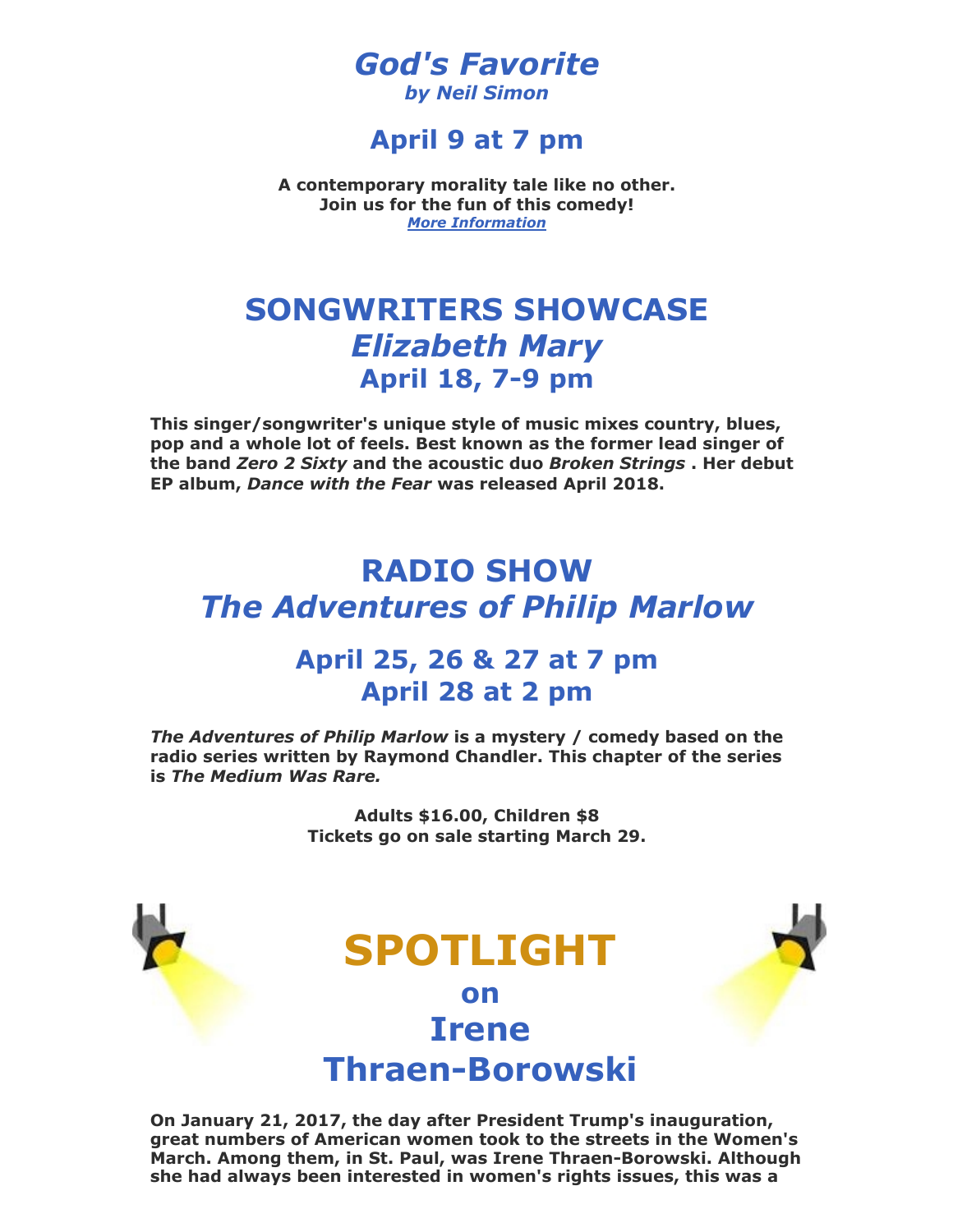#### *God's Favorite by Neil Simon*

#### **April 9 at 7 pm**

**A contemporary morality tale like no other. Join us for the fun of this comedy!** *[More Information](http://www.galenacenterforthearts.org/performances/table-reading/2019/gods-favorite.aspx)*

## **SONGWRITERS SHOWCASE** *Elizabeth Mary* **April 18, 7-9 pm**

**This singer/songwriter's unique style of music mixes country, blues, pop and a whole lot of feels. Best known as the former lead singer of the band** *Zero 2 Sixty* **and the acoustic duo** *Broken Strings* **. Her debut EP album,** *Dance with the Fear* **was released April 2018.**

## **RADIO SHOW** *The Adventures of Philip Marlow*

#### **April 25, 26 & 27 at 7 pm April 28 at 2 pm**

*The Adventures of Philip Marlow* **is a mystery / comedy based on the radio series written by Raymond Chandler. This chapter of the series is** *The Medium Was Rare.*

> **Adults \$16.00, Children \$8 Tickets go on sale starting March 29.**

![](_page_11_Picture_9.jpeg)

**On January 21, 2017, the day after President Trump's inauguration, great numbers of American women took to the streets in the Women's March. Among them, in St. Paul, was Irene Thraen-Borowski. Although she had always been interested in women's rights issues, this was a**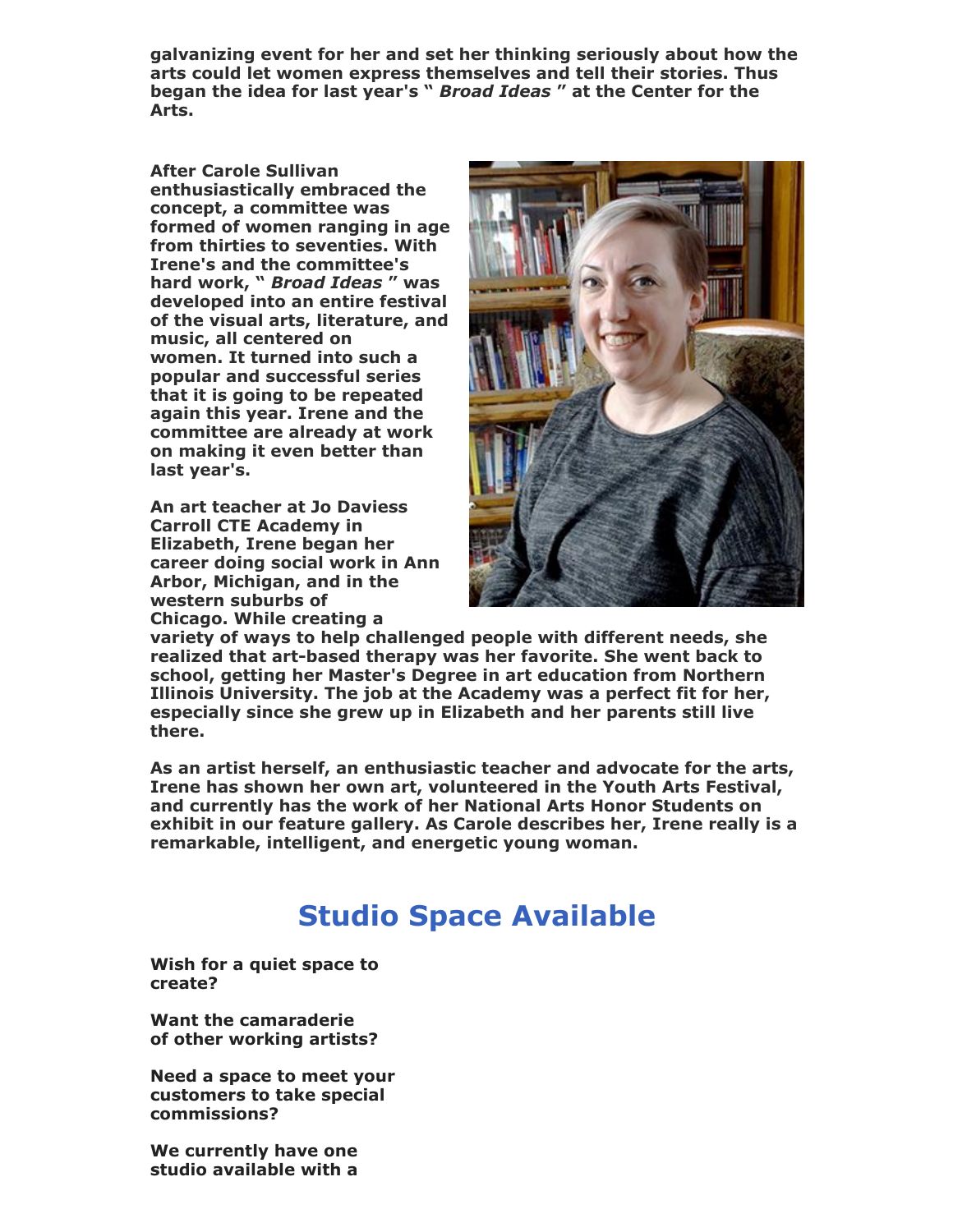**galvanizing event for her and set her thinking seriously about how the arts could let women express themselves and tell their stories. Thus began the idea for last year's "** *Broad Ideas* **" at the Center for the Arts.**

**After Carole Sullivan enthusiastically embraced the concept, a committee was formed of women ranging in age from thirties to seventies. With Irene's and the committee's hard work, "** *Broad Ideas* **" was developed into an entire festival of the visual arts, literature, and music, all centered on women. It turned into such a popular and successful series that it is going to be repeated again this year. Irene and the committee are already at work on making it even better than last year's.**

**An art teacher at Jo Daviess Carroll CTE Academy in Elizabeth, Irene began her career doing social work in Ann Arbor, Michigan, and in the western suburbs of Chicago. While creating a**

![](_page_12_Picture_3.jpeg)

**variety of ways to help challenged people with different needs, she realized that art-based therapy was her favorite. She went back to school, getting her Master's Degree in art education from Northern Illinois University. The job at the Academy was a perfect fit for her, especially since she grew up in Elizabeth and her parents still live there.**

**As an artist herself, an enthusiastic teacher and advocate for the arts, Irene has shown her own art, volunteered in the Youth Arts Festival, and currently has the work of her National Arts Honor Students on exhibit in our feature gallery. As Carole describes her, Irene really is a remarkable, intelligent, and energetic young woman.**

## **Studio Space Available**

**Wish for a quiet space to create?**

**Want the camaraderie of other working artists?**

**Need a space to meet your customers to take special commissions?**

**We currently have one studio available with a**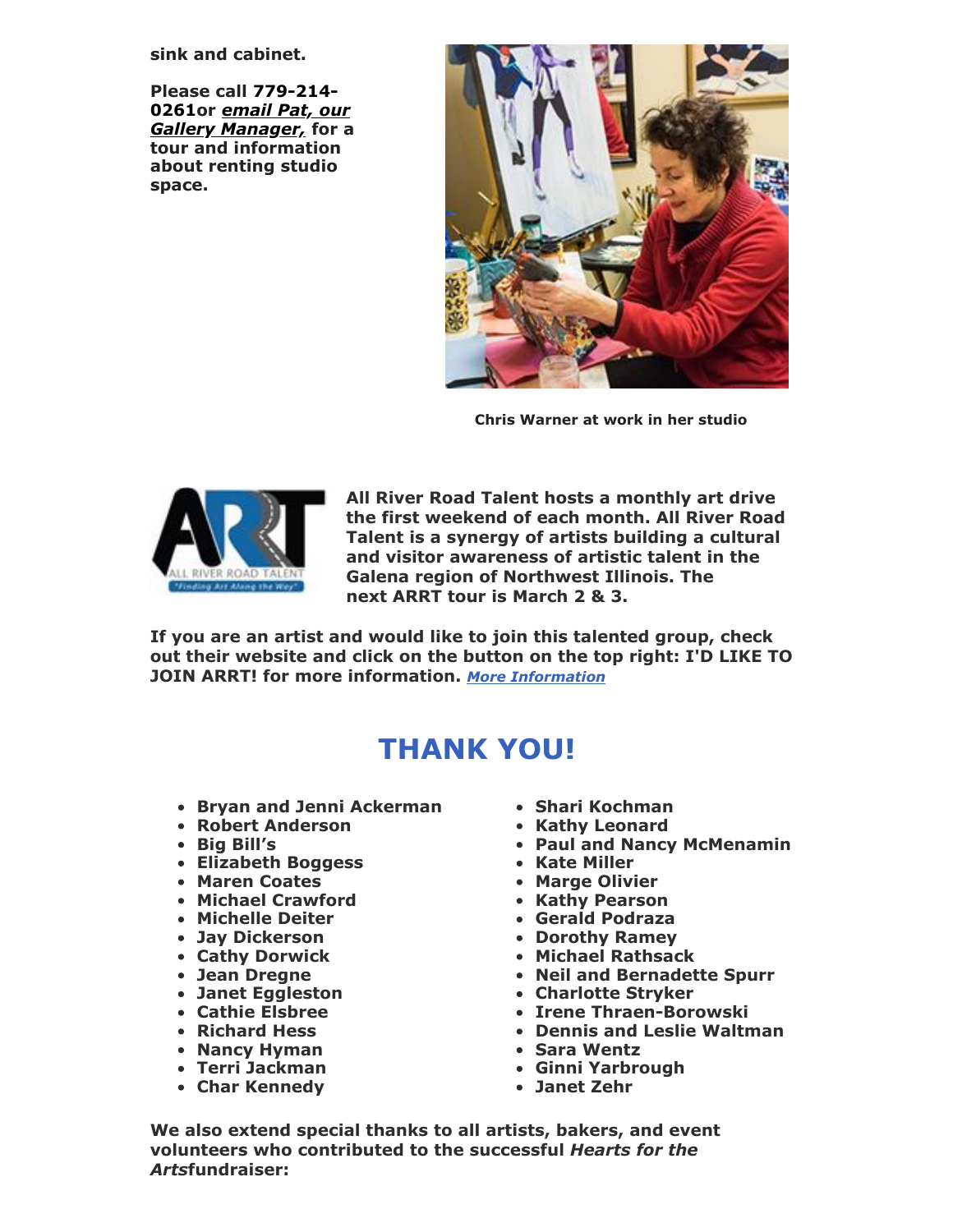**sink and cabinet.**

**Please call 779-214- 0261or** *email Pat, our [Gallery Manager,](mailto:gallerymanager@galenacenterforthearts.com)* **for a tour and information about renting studio space.**

![](_page_13_Picture_2.jpeg)

**Chris Warner at work in her studio**

![](_page_13_Picture_4.jpeg)

**All River Road Talent hosts a monthly art drive the first weekend of each month. All River Road Talent is a synergy of artists building a cultural and visitor awareness of artistic talent in the Galena region of Northwest Illinois. The next ARRT tour is March 2 & 3.**

**If you are an artist and would like to join this talented group, check out their website and click on the button on the top right: I'D LIKE TO JOIN ARRT! for more information.** *[More Information](http://www.allriverroadtalent.com/)*

## **THANK YOU!**

- **Bryan and Jenni Ackerman**
- **Robert Anderson**
- **Big Bill's**
- **Elizabeth Boggess**
- **Maren Coates**
- **Michael Crawford**
- **Michelle Deiter**
- **Jay Dickerson**
- **Cathy Dorwick**
- **Jean Dregne**
- **Janet Eggleston**
- **Cathie Elsbree**
- **Richard Hess**
- **Nancy Hyman**
- **Terri Jackman**
- **Char Kennedy**
- **Shari Kochman**
- **Kathy Leonard**
- **Paul and Nancy McMenamin**
- **Kate Miller**
- **Marge Olivier**
- **Kathy Pearson**
- **Gerald Podraza**
- **Dorothy Ramey**
- **Michael Rathsack**
- **Neil and Bernadette Spurr**
- **Charlotte Stryker**
- **Irene Thraen-Borowski**
- **Dennis and Leslie Waltman**
- **Sara Wentz**
- **Ginni Yarbrough**
- **Janet Zehr**

**We also extend special thanks to all artists, bakers, and event volunteers who contributed to the successful** *Hearts for the Arts***fundraiser:**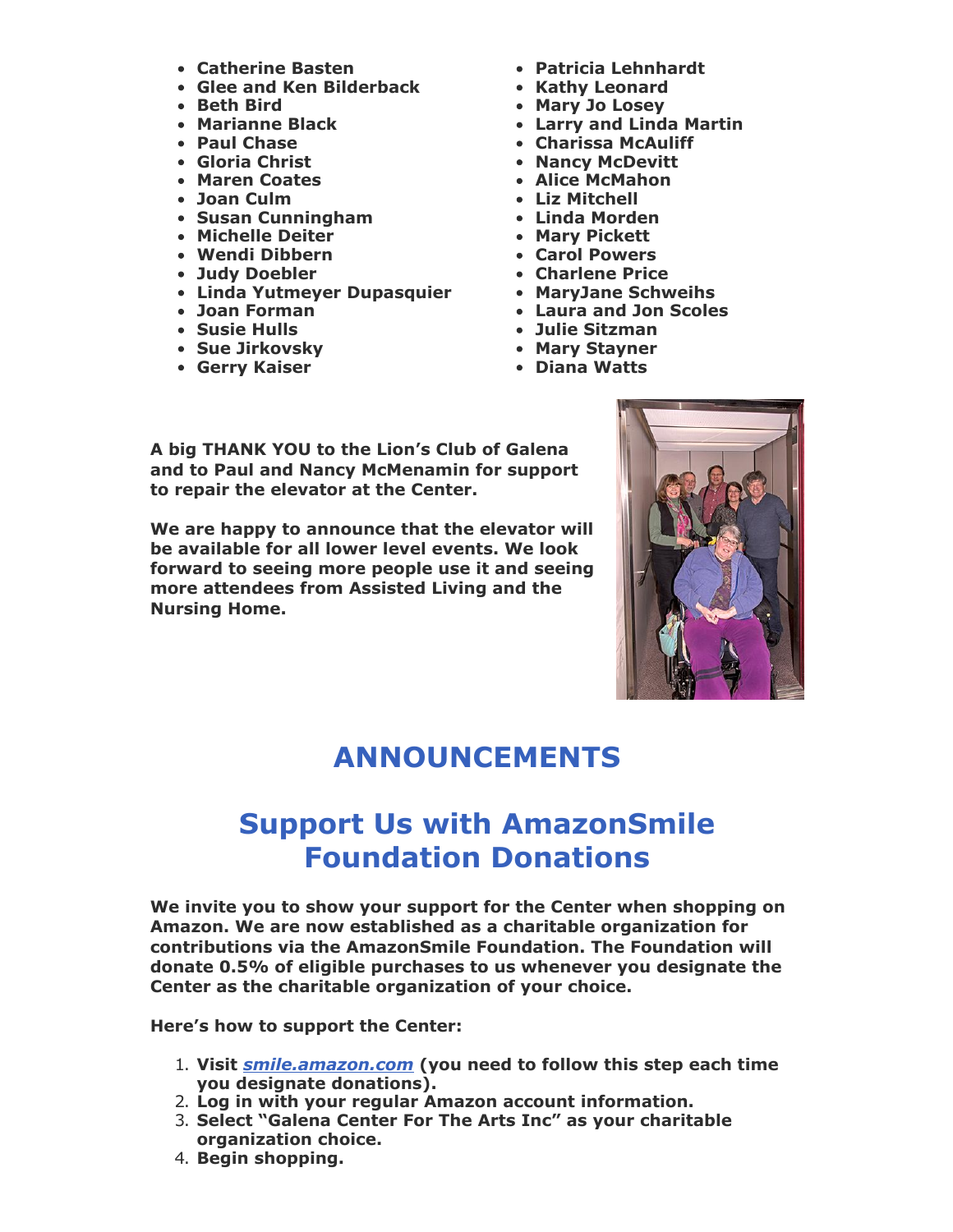- **Catherine Basten**
- **Glee and Ken Bilderback**
- **Beth Bird**
- **Marianne Black**
- **Paul Chase**
- **Gloria Christ**
- **Maren Coates**
- **Joan Culm**
- **Susan Cunningham**
- **Michelle Deiter**
- **Wendi Dibbern**
- **Judy Doebler**
- **Linda Yutmeyer Dupasquier MaryJane Schweihs**
- **Joan Forman**
- **Susie Hulls**
- **Sue Jirkovsky**
- **Gerry Kaiser**
- **Patricia Lehnhardt**
- **Kathy Leonard**
- **Mary Jo Losey**
- **Larry and Linda Martin**
- **Charissa McAuliff**
- **Nancy McDevitt**
- **Alice McMahon**
- **Liz Mitchell**
- **Linda Morden**
- **Mary Pickett**
- **Carol Powers**
- **Charlene Price**
	-
- **Laura and Jon Scoles**
- **Julie Sitzman**
- **Mary Stayner**
- **Diana Watts**

**A big THANK YOU to the Lion's Club of Galena and to Paul and Nancy McMenamin for support to repair the elevator at the Center.** 

**We are happy to announce that the elevator will be available for all lower level events. We look forward to seeing more people use it and seeing more attendees from Assisted Living and the Nursing Home.**

![](_page_14_Picture_36.jpeg)

## **ANNOUNCEMENTS**

## **Support Us with AmazonSmile Foundation Donations**

**We invite you to show your support for the Center when shopping on Amazon. We are now established as a charitable organization for contributions via the AmazonSmile Foundation. The Foundation will donate 0.5% of eligible purchases to us whenever you designate the Center as the charitable organization of your choice.**

**Here's how to support the Center:**

- 1. **Visit** *[smile.amazon.com](https://smile.amazon.com/)* **(you need to follow this step each time you designate donations).**
- 2. **Log in with your regular Amazon account information.**
- 3. **Select "Galena Center For The Arts Inc" as your charitable organization choice.**
- 4. **Begin shopping.**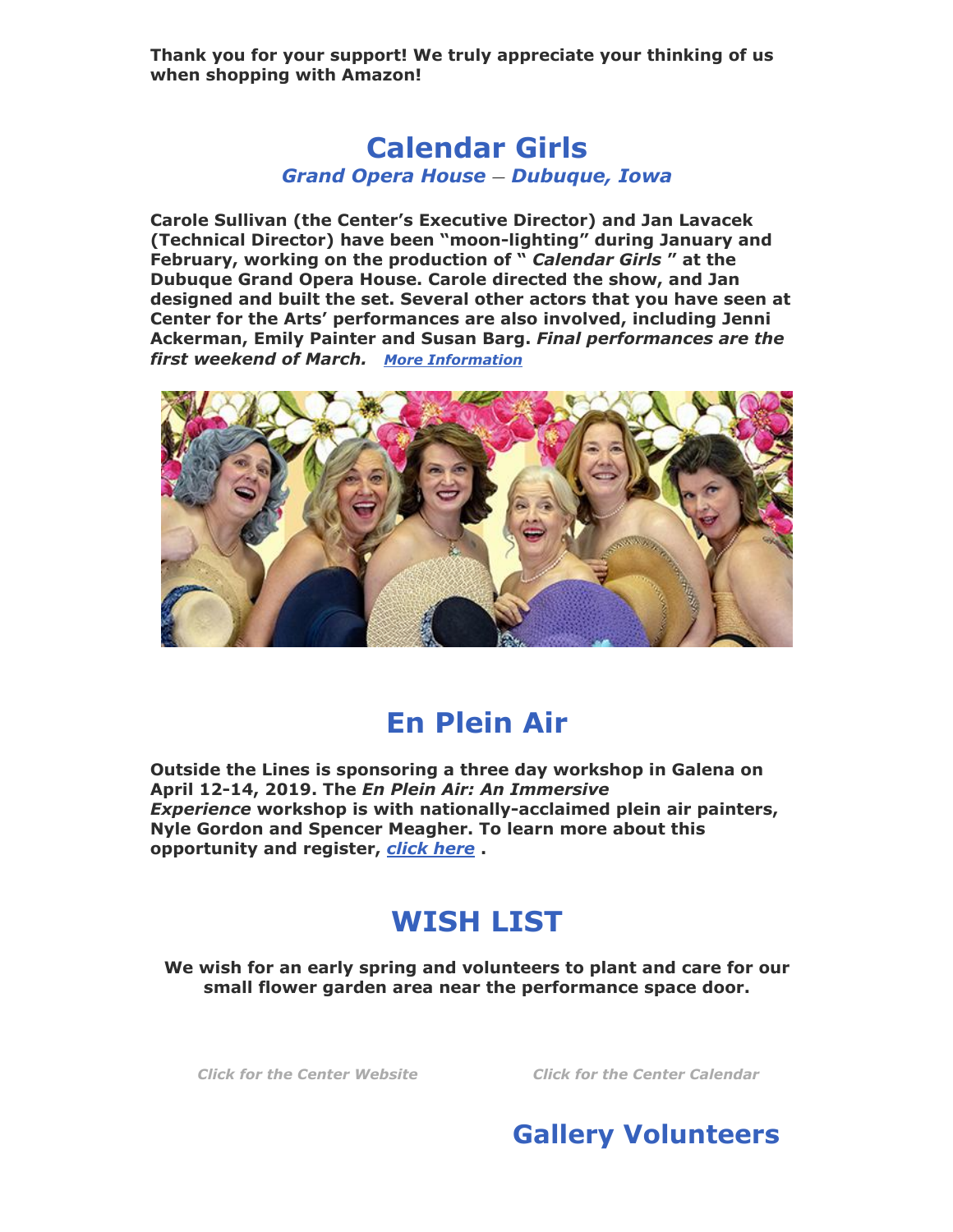**Thank you for your support! We truly appreciate your thinking of us when shopping with Amazon!**

#### **Calendar Girls** *Grand Opera House — Dubuque, Iowa*

**Carole Sullivan (the Center's Executive Director) and Jan Lavacek (Technical Director) have been "moon-lighting" during January and February, working on the production of "** *Calendar Girls* **" at the Dubuque Grand Opera House. Carole directed the show, and Jan designed and built the set. Several other actors that you have seen at Center for the Arts' performances are also involved, including Jenni Ackerman, Emily Painter and Susan Barg.** *Final performances are the first weekend of March. [More Information](http://www.thegrandoperahouse.com/event/2a4ec8ebc4126f683f1f1352f2f70e2c)*

![](_page_15_Picture_3.jpeg)

## **En Plein Air**

**Outside the Lines is sponsoring a three day workshop in Galena on April 12-14, 2019. The** *En Plein Air: An Immersive Experience* **workshop is with nationally-acclaimed plein air painters, Nyle Gordon and Spencer Meagher. To learn more about this opportunity and register,** *[click here](https://www.eventbrite.com/e/en-plein-air-an-immersive-experience-tickets-55844930691?aff=ebdssbdestsearch)* **.**

## **WISH LIST**

**We wish for an early spring and volunteers to plant and care for our small flower garden area near the performance space door.**

*[Click for the Center Website](http://www.galenacenterforthearts.org/) [Click for the Center Calendar](http://www.galenacenterforthearts.org/calendar.aspx)*

![](_page_15_Picture_10.jpeg)